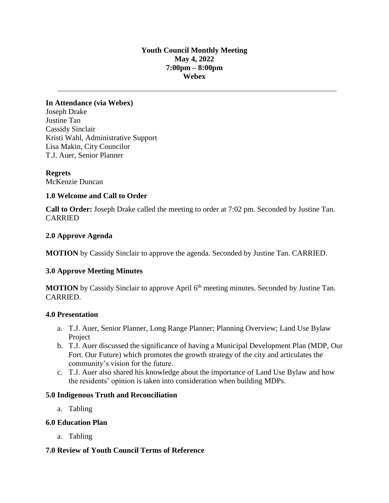### **Youth Council Monthly Meeting May 4, 2022 7:00pm – 8:00pm Webex**

**In Attendance (via Webex)** Joseph Drake Justine Tan Cassidy Sinclair Kristi Wahl, Administrative Support Lisa Makin, City Councilor T.J. Auer, Senior Planner

**Regrets** McKenzie Duncan

### **1.0 Welcome and Call to Order**

**Call to Order:** Joseph Drake called the meeting to order at 7:02 pm. Seconded by Justine Tan. CARRIED

### **2.0 Approve Agenda**

**MOTION** by Cassidy Sinclair to approve the agenda. Seconded by Justine Tan. CARRIED.

#### **3.0 Approve Meeting Minutes**

**MOTION** by Cassidy Sinclair to approve April 6<sup>th</sup> meeting minutes. Seconded by Justine Tan. CARRIED.

#### **4.0 Presentation**

- a. T.J. Auer, Senior Planner, Long Range Planner; Planning Overview; Land Use Bylaw Project
- b. T.J. Auer discussed the significance of having a Municipal Development Plan (MDP, Our Fort. Our Future) which promotes the growth strategy of the city and articulates the community's vision for the future.
- c. T.J. Auer also shared his knowledge about the importance of Land Use Bylaw and how the residents' opinion is taken into consideration when building MDPs.

#### **5.0 Indigenous Truth and Reconciliation**

a. Tabling

#### **6.0 Education Plan**

a. Tabling

## **7.0 Review of Youth Council Terms of Reference**